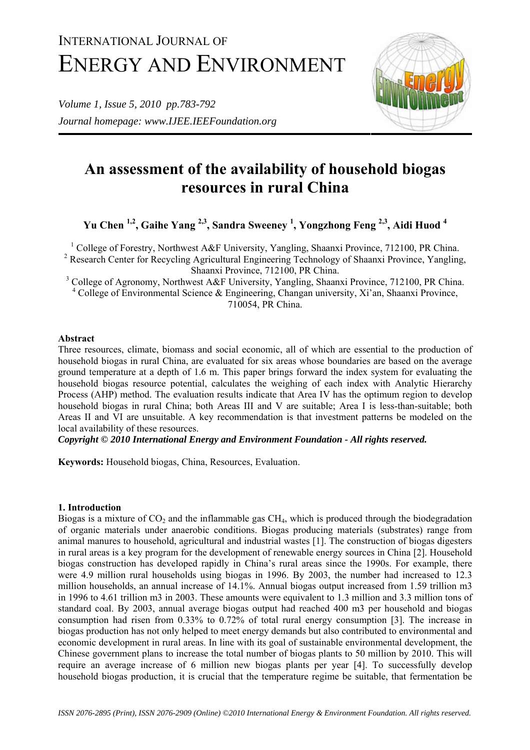# INTERNATIONAL JOURNAL OF ENERGY AND ENVIRONMENT

*Volume 1, Issue 5, 2010 pp.783-792 Journal homepage: www.IJEE.IEEFoundation.org* 



# **An assessment of the availability of household biogas resources in rural China**

**Yu Chen 1,2, Gaihe Yang 2,3, Sandra Sweeney 1 , Yongzhong Feng 2,3, Aidi Huod 4**

<sup>1</sup> College of Forestry, Northwest A&F University, Yangling, Shaanxi Province, 712100, PR China.

<sup>2</sup> Research Center for Recycling Agricultural Engineering Technology of Shaanxi Province, Yangling, Shaanxi Province, 712100, PR China.

<sup>3</sup> College of Agronomy, Northwest A&F University, Yangling, Shaanxi Province, 712100, PR China. <sup>4</sup> College of Environmental Science & Engineering, Changan university, Xi'an, Shaanxi Province, 710054, PR China.

# **Abstract**

Three resources, climate, biomass and social economic, all of which are essential to the production of household biogas in rural China, are evaluated for six areas whose boundaries are based on the average ground temperature at a depth of 1.6 m. This paper brings forward the index system for evaluating the household biogas resource potential, calculates the weighing of each index with Analytic Hierarchy Process (AHP) method. The evaluation results indicate that Area IV has the optimum region to develop household biogas in rural China; both Areas III and V are suitable; Area I is less-than-suitable; both Areas II and VI are unsuitable. A key recommendation is that investment patterns be modeled on the local availability of these resources.

*Copyright © 2010 International Energy and Environment Foundation - All rights reserved.*

**Keywords:** Household biogas, China, Resources, Evaluation.

# **1. Introduction**

Biogas is a mixture of  $CO<sub>2</sub>$  and the inflammable gas  $CH<sub>4</sub>$ , which is produced through the biodegradation of organic materials under anaerobic conditions. Biogas producing materials (substrates) range from animal manures to household, agricultural and industrial wastes [1]. The construction of biogas digesters in rural areas is a key program for the development of renewable energy sources in China [2]. Household biogas construction has developed rapidly in China's rural areas since the 1990s. For example, there were 4.9 million rural households using biogas in 1996. By 2003, the number had increased to 12.3 million households, an annual increase of 14.1%. Annual biogas output increased from 1.59 trillion m3 in 1996 to 4.61 trillion m3 in 2003. These amounts were equivalent to 1.3 million and 3.3 million tons of standard coal. By 2003, annual average biogas output had reached 400 m3 per household and biogas consumption had risen from 0.33% to 0.72% of total rural energy consumption [3]. The increase in biogas production has not only helped to meet energy demands but also contributed to environmental and economic development in rural areas. In line with its goal of sustainable environmental development, the Chinese government plans to increase the total number of biogas plants to 50 million by 2010. This will require an average increase of 6 million new biogas plants per year [4]. To successfully develop household biogas production, it is crucial that the temperature regime be suitable, that fermentation be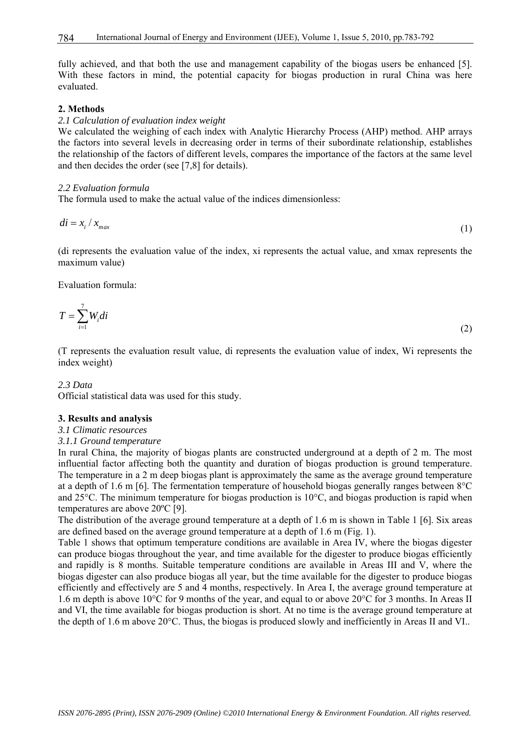fully achieved, and that both the use and management capability of the biogas users be enhanced [5]. With these factors in mind, the potential capacity for biogas production in rural China was here evaluated.

#### **2. Methods**

#### *2.1 Calculation of evaluation index weight*

We calculated the weighing of each index with Analytic Hierarchy Process (AHP) method. AHP arrays the factors into several levels in decreasing order in terms of their subordinate relationship, establishes the relationship of the factors of different levels, compares the importance of the factors at the same level and then decides the order (see [7,8] for details).

#### *2.2 Evaluation formula*

The formula used to make the actual value of the indices dimensionless:

$$
di = x_i / x_{max} \tag{1}
$$

(di represents the evaluation value of the index, xi represents the actual value, and xmax represents the maximum value)

Evaluation formula:

$$
T = \sum_{i=1}^{7} W_i di \tag{2}
$$

(T represents the evaluation result value, di represents the evaluation value of index, Wi represents the index weight)

#### *2.3 Data*

Official statistical data was used for this study.

#### **3. Results and analysis**

#### *3.1 Climatic resources*

#### *3.1.1 Ground temperature*

In rural China, the majority of biogas plants are constructed underground at a depth of 2 m. The most influential factor affecting both the quantity and duration of biogas production is ground temperature. The temperature in a 2 m deep biogas plant is approximately the same as the average ground temperature at a depth of 1.6 m [6]. The fermentation temperature of household biogas generally ranges between 8°C and 25°C. The minimum temperature for biogas production is 10°C, and biogas production is rapid when temperatures are above 20ºC [9].

The distribution of the average ground temperature at a depth of 1.6 m is shown in Table 1 [6]. Six areas are defined based on the average ground temperature at a depth of 1.6 m (Fig. 1).

Table 1 shows that optimum temperature conditions are available in Area IV, where the biogas digester can produce biogas throughout the year, and time available for the digester to produce biogas efficiently and rapidly is 8 months. Suitable temperature conditions are available in Areas III and V, where the biogas digester can also produce biogas all year, but the time available for the digester to produce biogas efficiently and effectively are 5 and 4 months, respectively. In Area I, the average ground temperature at 1.6 m depth is above 10°C for 9 months of the year, and equal to or above 20°C for 3 months. In Areas II and VI, the time available for biogas production is short. At no time is the average ground temperature at the depth of 1.6 m above 20°C. Thus, the biogas is produced slowly and inefficiently in Areas II and VI..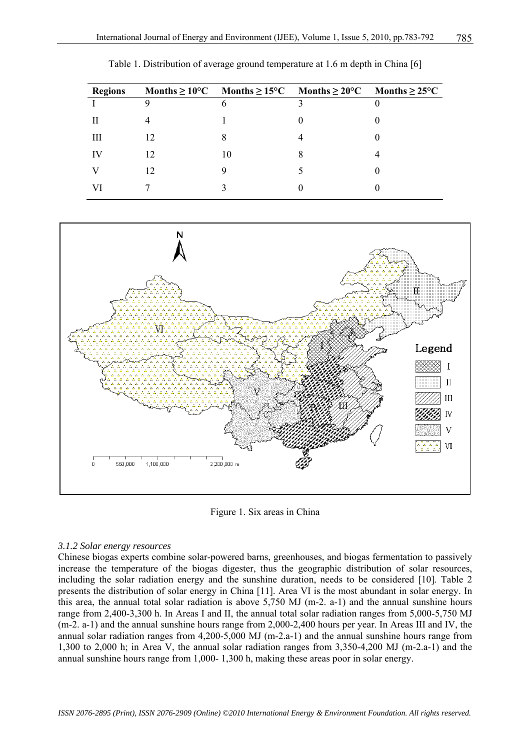| <b>Regions</b> |    |   | Months $\geq 10^{\circ}\text{C}$ Months $\geq 15^{\circ}\text{C}$ Months $\geq 20^{\circ}\text{C}$ Months $\geq 25^{\circ}\text{C}$ |  |
|----------------|----|---|-------------------------------------------------------------------------------------------------------------------------------------|--|
|                | Q  | 6 | 3                                                                                                                                   |  |
|                |    |   |                                                                                                                                     |  |
| Ш              | 12 |   |                                                                                                                                     |  |
| IV             | 12 |   | 8                                                                                                                                   |  |
|                |    |   |                                                                                                                                     |  |
| VI             |    |   |                                                                                                                                     |  |

Table 1. Distribution of average ground temperature at 1.6 m depth in China [6]



Figure 1. Six areas in China

### *3.1.2 Solar energy resources*

Chinese biogas experts combine solar-powered barns, greenhouses, and biogas fermentation to passively increase the temperature of the biogas digester, thus the geographic distribution of solar resources, including the solar radiation energy and the sunshine duration, needs to be considered [10]. Table 2 presents the distribution of solar energy in China [11]. Area VI is the most abundant in solar energy. In this area, the annual total solar radiation is above 5,750 MJ (m-2. a-1) and the annual sunshine hours range from 2,400-3,300 h. In Areas I and II, the annual total solar radiation ranges from 5,000-5,750 MJ (m-2. a-1) and the annual sunshine hours range from 2,000-2,400 hours per year. In Areas III and IV, the annual solar radiation ranges from 4,200-5,000 MJ (m-2.a-1) and the annual sunshine hours range from 1,300 to 2,000 h; in Area V, the annual solar radiation ranges from 3,350-4,200 MJ (m-2.a-1) and the annual sunshine hours range from 1,000- 1,300 h, making these areas poor in solar energy.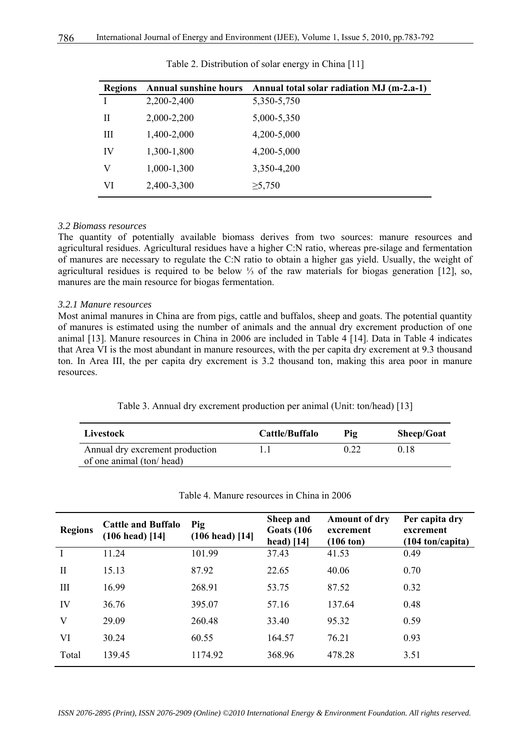| <b>Regions</b> | <b>Annual sunshine hours</b> | Annual total solar radiation MJ (m-2.a-1) |
|----------------|------------------------------|-------------------------------------------|
| I              | 2,200-2,400                  | 5,350-5,750                               |
| Н              | 2,000-2,200                  | 5,000-5,350                               |
| Ш              | 1,400-2,000                  | 4,200-5,000                               |
| IV             | 1,300-1,800                  | 4,200-5,000                               |
| V              | 1,000-1,300                  | 3,350-4,200                               |
| VI             | 2,400-3,300                  | $\geq 5,750$                              |

Table 2. Distribution of solar energy in China [11]

#### *3.2 Biomass resources*

The quantity of potentially available biomass derives from two sources: manure resources and agricultural residues. Agricultural residues have a higher C:N ratio, whereas pre-silage and fermentation of manures are necessary to regulate the C:N ratio to obtain a higher gas yield. Usually, the weight of agricultural residues is required to be below ⅓ of the raw materials for biogas generation [12], so, manures are the main resource for biogas fermentation.

#### *3.2.1 Manure resources*

Most animal manures in China are from pigs, cattle and buffalos, sheep and goats. The potential quantity of manures is estimated using the number of animals and the annual dry excrement production of one animal [13]. Manure resources in China in 2006 are included in Table 4 [14]. Data in Table 4 indicates that Area VI is the most abundant in manure resources, with the per capita dry excrement at 9.3 thousand ton. In Area III, the per capita dry excrement is 3.2 thousand ton, making this area poor in manure resources.

| Table 3. Annual dry excrement production per animal (Unit: ton/head) [13] |  |  |  |
|---------------------------------------------------------------------------|--|--|--|
|---------------------------------------------------------------------------|--|--|--|

| Livestock                       | Cattle/Buffalo | Pig  | <b>Sheep/Goat</b> |
|---------------------------------|----------------|------|-------------------|
| Annual dry excrement production |                | 0.22 | 0.18              |
| of one animal (ton/head)        |                |      |                   |

| <b>Regions</b> | <b>Cattle and Buffalo</b><br>$(106 \text{ head})$ [14] | Pig<br>$(106 \text{ head})$ [14] | Sheep and<br><b>Goats</b> (106)<br>head) $[14]$ | <b>Amount of dry</b><br>excrement<br>$(106 \text{ ton})$ | Per capita dry<br>excrement<br>$(104 \text{ ton/capita})$ |
|----------------|--------------------------------------------------------|----------------------------------|-------------------------------------------------|----------------------------------------------------------|-----------------------------------------------------------|
|                | 11.24                                                  | 101.99                           | 37.43                                           | 41.53                                                    | 0.49                                                      |
| $\mathbf{I}$   | 15.13                                                  | 87.92                            | 22.65                                           | 40.06                                                    | 0.70                                                      |
| III            | 16.99                                                  | 268.91                           | 53.75                                           | 87.52                                                    | 0.32                                                      |
| IV             | 36.76                                                  | 395.07                           | 57.16                                           | 137.64                                                   | 0.48                                                      |
| V              | 29.09                                                  | 260.48                           | 33.40                                           | 95.32                                                    | 0.59                                                      |
| VI             | 30.24                                                  | 60.55                            | 164.57                                          | 76.21                                                    | 0.93                                                      |
| Total          | 139.45                                                 | 1174.92                          | 368.96                                          | 478.28                                                   | 3.51                                                      |

Table 4. Manure resources in China in 2006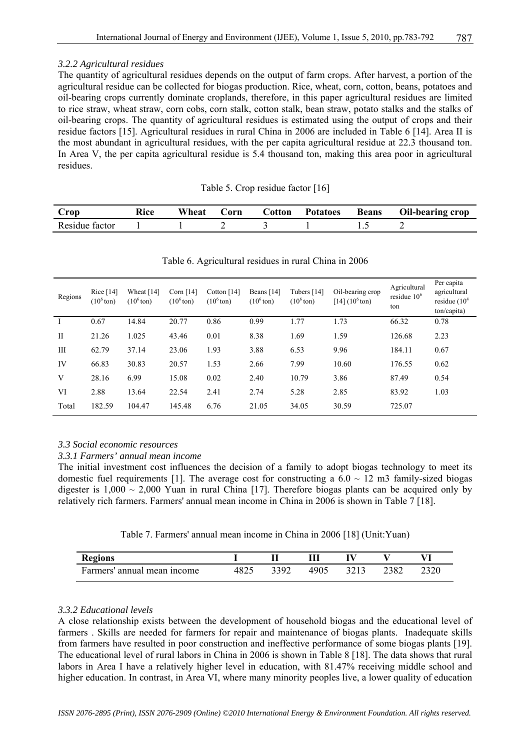# *3.2.2 Agricultural residues*

The quantity of agricultural residues depends on the output of farm crops. After harvest, a portion of the agricultural residue can be collected for biogas production. Rice, wheat, corn, cotton, beans, potatoes and oil-bearing crops currently dominate croplands, therefore, in this paper agricultural residues are limited to rice straw, wheat straw, corn cobs, corn stalk, cotton stalk, bean straw, potato stalks and the stalks of oil-bearing crops. The quantity of agricultural residues is estimated using the output of crops and their residue factors [15]. Agricultural residues in rural China in 2006 are included in Table 6 [14]. Area II is the most abundant in agricultural residues, with the per capita agricultural residue at 22.3 thousand ton. In Area V, the per capita agricultural residue is 5.4 thousand ton, making this area poor in agricultural residues.

| Crop           | Rice | Wheat | Corn | Cotton | <b>Potatoes</b> | <b>Beans</b> | <b>Oil-bearing crop</b> |
|----------------|------|-------|------|--------|-----------------|--------------|-------------------------|
| Residue factor |      |       |      |        |                 |              |                         |

Table 5. Crop residue factor [16]

| Regions      | Rice $[14]$<br>$(10^6 \text{ton})$ | Wheat [14]<br>$(10^6 \text{ton})$ | Corn $[14]$<br>$(106$ ton) | Cotton $[14]$<br>$(10^6 \text{ton})$ | Beans [14]<br>$(10^6 \text{ton})$ | Tubers $[14]$<br>$(106$ ton) | Oil-bearing crop<br>$[14] (106 \text{ton})$ | Agricultural<br>residue $106$<br>ton | Per capita<br>agricultural<br>residue $(104$<br>ton/capita) |
|--------------|------------------------------------|-----------------------------------|----------------------------|--------------------------------------|-----------------------------------|------------------------------|---------------------------------------------|--------------------------------------|-------------------------------------------------------------|
|              | 0.67                               | 14.84                             | 20.77                      | 0.86                                 | 0.99                              | 1.77                         | 1.73                                        | 66.32                                | 0.78                                                        |
| $\mathbf{I}$ | 21.26                              | 1.025                             | 43.46                      | 0.01                                 | 8.38                              | 1.69                         | 1.59                                        | 126.68                               | 2.23                                                        |
| III          | 62.79                              | 37.14                             | 23.06                      | 1.93                                 | 3.88                              | 6.53                         | 9.96                                        | 184.11                               | 0.67                                                        |
| IV           | 66.83                              | 30.83                             | 20.57                      | 1.53                                 | 2.66                              | 7.99                         | 10.60                                       | 176.55                               | 0.62                                                        |
| V            | 28.16                              | 6.99                              | 15.08                      | 0.02                                 | 2.40                              | 10.79                        | 3.86                                        | 87.49                                | 0.54                                                        |
| VI           | 2.88                               | 13.64                             | 22.54                      | 2.41                                 | 2.74                              | 5.28                         | 2.85                                        | 83.92                                | 1.03                                                        |
| Total        | 182.59                             | 104.47                            | 145.48                     | 6.76                                 | 21.05                             | 34.05                        | 30.59                                       | 725.07                               |                                                             |

# Table 6. Agricultural residues in rural China in 2006

# *3.3 Social economic resources*

# *3.3.1 Farmers' annual mean income*

The initial investment cost influences the decision of a family to adopt biogas technology to meet its domestic fuel requirements [1]. The average cost for constructing a  $6.0 \sim 12$  m3 family-sized biogas digester is  $1,000 \sim 2,000$  Yuan in rural China [17]. Therefore biogas plants can be acquired only by relatively rich farmers. Farmers' annual mean income in China in 2006 is shown in Table 7 [18].

| <b>Regions</b>              |      |      |      |      |      |      |
|-----------------------------|------|------|------|------|------|------|
| Farmers' annual mean income | 4825 | 3392 | 4905 | 3213 | 2382 | 2320 |

# *3.3.2 Educational levels*

A close relationship exists between the development of household biogas and the educational level of farmers . Skills are needed for farmers for repair and maintenance of biogas plants. Inadequate skills from farmers have resulted in poor construction and ineffective performance of some biogas plants [19]. The educational level of rural labors in China in 2006 is shown in Table 8 [18]. The data shows that rural labors in Area I have a relatively higher level in education, with 81.47% receiving middle school and higher education. In contrast, in Area VI, where many minority peoples live, a lower quality of education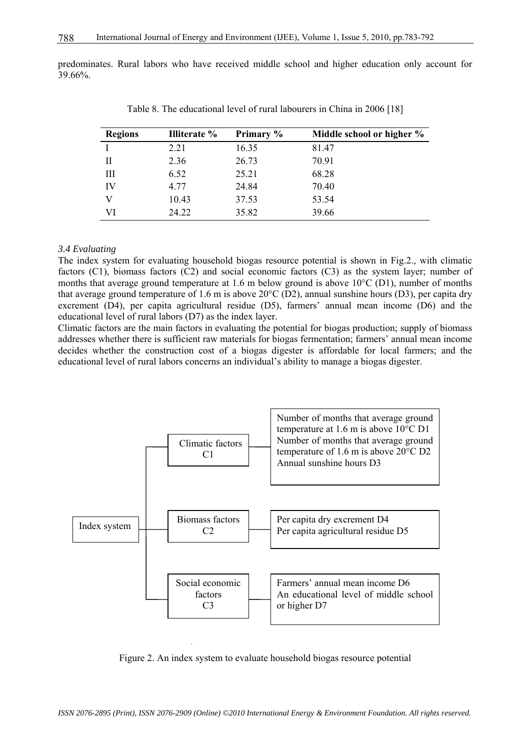predominates. Rural labors who have received middle school and higher education only account for 39.66%.

| <b>Regions</b> | <b>Illiterate</b> % | Primary % | Middle school or higher % |
|----------------|---------------------|-----------|---------------------------|
|                | 2.21                | 16.35     | 81.47                     |
| Н              | 2.36                | 26.73     | 70.91                     |
| Ш              | 6.52                | 25.21     | 68.28                     |
| IV             | 4.77                | 24.84     | 70.40                     |
| V              | 10.43               | 37.53     | 53.54                     |
| VI             | 24.22               | 35.82     | 39.66                     |

Table 8. The educational level of rural labourers in China in 2006 [18]

#### *3.4 Evaluating*

The index system for evaluating household biogas resource potential is shown in Fig.2., with climatic factors (C1), biomass factors (C2) and social economic factors (C3) as the system layer; number of months that average ground temperature at 1.6 m below ground is above 10°C (D1), number of months that average ground temperature of 1.6 m is above 20°C (D2), annual sunshine hours (D3), per capita dry excrement (D4), per capita agricultural residue (D5), farmers' annual mean income (D6) and the educational level of rural labors (D7) as the index layer.

Climatic factors are the main factors in evaluating the potential for biogas production; supply of biomass addresses whether there is sufficient raw materials for biogas fermentation; farmers' annual mean income decides whether the construction cost of a biogas digester is affordable for local farmers; and the educational level of rural labors concerns an individual's ability to manage a biogas digester.



Figure 2. An index system to evaluate household biogas resource potential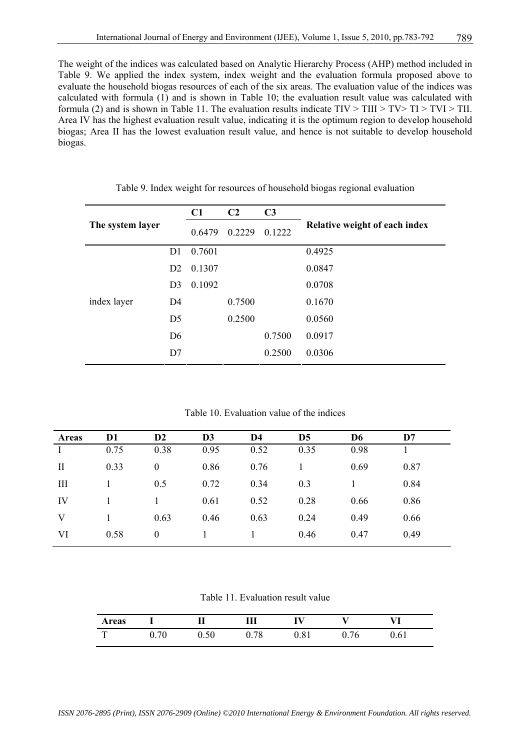The weight of the indices was calculated based on Analytic Hierarchy Process (AHP) method included in Table 9. We applied the index system, index weight and the evaluation formula proposed above to evaluate the household biogas resources of each of the six areas. The evaluation value of the indices was calculated with formula (1) and is shown in Table 10; the evaluation result value was calculated with formula (2) and is shown in Table 11. The evaluation results indicate  $TIV > TIII > TV > TI > TVI > TII$ . Area IV has the highest evaluation result value, indicating it is the optimum region to develop household biogas; Area II has the lowest evaluation result value, and hence is not suitable to develop household biogas.

|                  |                | C1     | C <sub>2</sub> | C <sub>3</sub> |                               |
|------------------|----------------|--------|----------------|----------------|-------------------------------|
| The system layer |                | 0.6479 | 0.2229         | 0.1222         | Relative weight of each index |
|                  | D1             | 0.7601 |                |                | 0.4925                        |
|                  | D2             | 0.1307 |                |                | 0.0847                        |
|                  | D <sub>3</sub> | 0.1092 |                |                | 0.0708                        |
| index layer      | D <sub>4</sub> |        | 0.7500         |                | 0.1670                        |
|                  | D <sub>5</sub> |        | 0.2500         |                | 0.0560                        |
|                  | D <sub>6</sub> |        |                | 0.7500         | 0.0917                        |
|                  | D7             |        |                | 0.2500         | 0.0306                        |

Table 9. Index weight for resources of household biogas regional evaluation

Table 10. Evaluation value of the indices

| Areas        | D <sub>1</sub> | D2               | D <sub>3</sub> | D4   | D <sub>5</sub> | D <sub>6</sub> | D7   |  |
|--------------|----------------|------------------|----------------|------|----------------|----------------|------|--|
|              | 0.75           | 0.38             | 0.95           | 0.52 | 0.35           | 0.98           |      |  |
| $\mathbf{I}$ | 0.33           | $\boldsymbol{0}$ | 0.86           | 0.76 |                | 0.69           | 0.87 |  |
| Ш            |                | 0.5              | 0.72           | 0.34 | 0.3            |                | 0.84 |  |
| IV           |                |                  | 0.61           | 0.52 | 0.28           | 0.66           | 0.86 |  |
| V            |                | 0.63             | 0.46           | 0.63 | 0.24           | 0.49           | 0.66 |  |
| VI           | 0.58           | $\theta$         |                |      | 0.46           | 0.47           | 0.49 |  |
|              |                |                  |                |      |                |                |      |  |

Table 11. Evaluation result value

| <b>Areas</b> |      |      |      |    | I 7 T |  |
|--------------|------|------|------|----|-------|--|
| $\mathbf{r}$ | v.ju | 0.78 | 0.81 | 76 | 0.61  |  |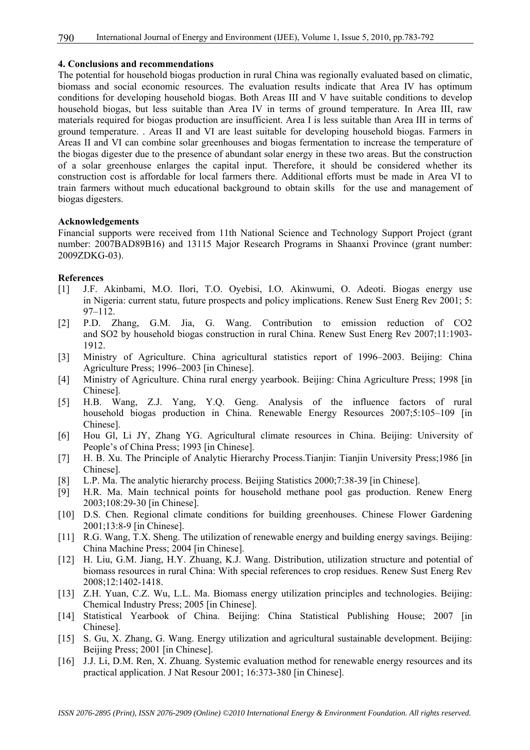#### **4. Conclusions and recommendations**

The potential for household biogas production in rural China was regionally evaluated based on climatic, biomass and social economic resources. The evaluation results indicate that Area IV has optimum conditions for developing household biogas. Both Areas III and V have suitable conditions to develop household biogas, but less suitable than Area IV in terms of ground temperature. In Area III, raw materials required for biogas production are insufficient. Area I is less suitable than Area III in terms of ground temperature. . Areas II and VI are least suitable for developing household biogas. Farmers in Areas II and VI can combine solar greenhouses and biogas fermentation to increase the temperature of the biogas digester due to the presence of abundant solar energy in these two areas. But the construction of a solar greenhouse enlarges the capital input. Therefore, it should be considered whether its construction cost is affordable for local farmers there. Additional efforts must be made in Area VI to train farmers without much educational background to obtain skills for the use and management of biogas digesters.

#### **Acknowledgements**

Financial supports were received from 11th National Science and Technology Support Project (grant number: 2007BAD89B16) and 13115 Major Research Programs in Shaanxi Province (grant number: 2009ZDKG-03).

#### **References**

- [1] J.F. Akinbami, M.O. Ilori, T.O. Oyebisi, I.O. Akinwumi, O. Adeoti. Biogas energy use in Nigeria: current statu, future prospects and policy implications. Renew Sust Energ Rev 2001; 5: 97–112.
- [2] P.D. Zhang, G.M. Jia, G. Wang. Contribution to emission reduction of CO2 and SO2 by household biogas construction in rural China. Renew Sust Energ Rev 2007;11:1903- 1912.
- [3] Ministry of Agriculture. China agricultural statistics report of 1996–2003. Beijing: China Agriculture Press; 1996–2003 [in Chinese].
- [4] Ministry of Agriculture. China rural energy yearbook. Beijing: China Agriculture Press; 1998 [in Chinese].
- [5] H.B. Wang, Z.J. Yang, Y.Q. Geng. Analysis of the influence factors of rural household biogas production in China. Renewable Energy Resources 2007;5:105–109 [in Chinese].
- [6] Hou Gl, Li JY, Zhang YG. Agricultural climate resources in China. Beijing: University of People's of China Press; 1993 [in Chinese].
- [7] H. B. Xu. The Principle of Analytic Hierarchy Process.Tianjin: Tianjin University Press;1986 [in Chinese].
- [8] L.P. Ma. The analytic hierarchy process. Beijing Statistics 2000;7:38-39 [in Chinese].
- [9] H.R. Ma. Main technical points for household methane pool gas production. Renew Energ 2003;108:29-30 [in Chinese].
- [10] D.S. Chen. Regional climate conditions for building greenhouses. Chinese Flower Gardening 2001;13:8-9 [in Chinese].
- [11] R.G. Wang, T.X. Sheng. The utilization of renewable energy and building energy savings. Beijing: China Machine Press; 2004 [in Chinese].
- [12] H. Liu, G.M. Jiang, H.Y. Zhuang, K.J. Wang. Distribution, utilization structure and potential of biomass resources in rural China: With special references to crop residues. Renew Sust Energ Rev 2008;12:1402-1418.
- [13] Z.H. Yuan, C.Z. Wu, L.L. Ma. Biomass energy utilization principles and technologies. Beijing: Chemical Industry Press; 2005 [in Chinese].
- [14] Statistical Yearbook of China. Beijing: China Statistical Publishing House; 2007 [in Chinese].
- [15] S. Gu, X. Zhang, G. Wang. Energy utilization and agricultural sustainable development. Beijing: Beijing Press; 2001 [in Chinese].
- [16] J.J. Li, D.M. Ren, X. Zhuang. Systemic evaluation method for renewable energy resources and its practical application. J Nat Resour 2001; 16:373-380 [in Chinese].